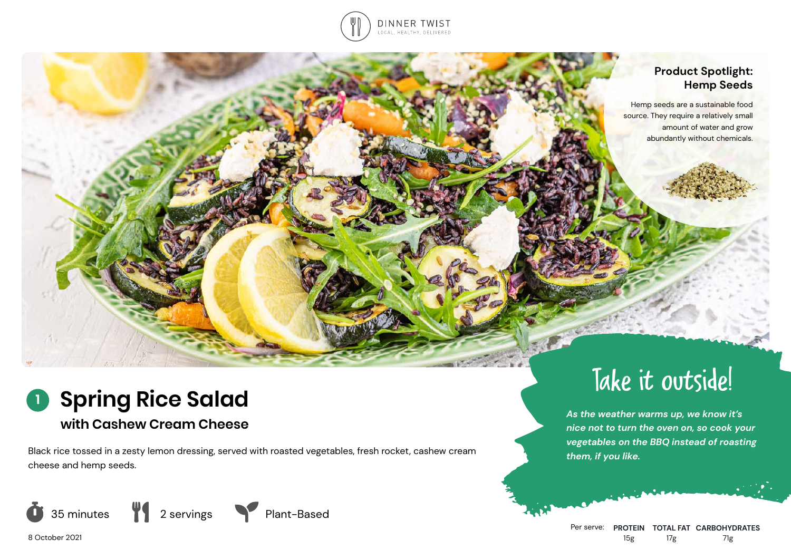

### **Product Spotlight: Hemp Seeds**

Hemp seeds are a sustainable food source. They require a relatively small amount of water and grow abundantly without chemicals.

# **Spring Rice Salad 1**

# **with Cashew Cream Cheese**

Black rice tossed in a zesty lemon dressing, served with roasted vegetables, fresh rocket, cashew cream cheese and hemp seeds.







# Take it outside!

*As the weather warms up, we know it's nice not to turn the oven on, so cook your vegetables on the BBQ instead of roasting them, if you like.*